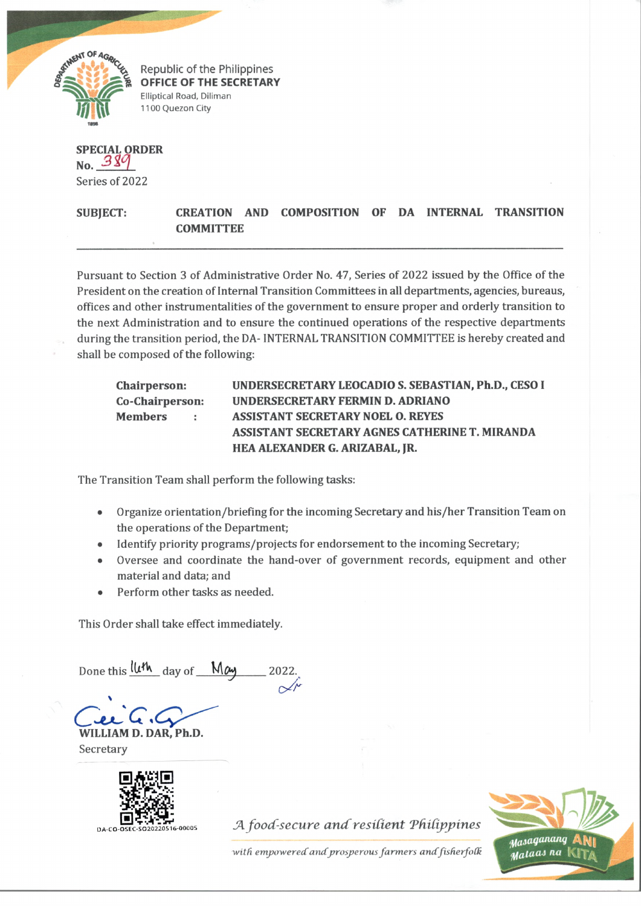

Republic of the Philippines **OFFICE OF THE SECRETARY** Elliptical Road, Diliman 1100 Quezon City

**SPECIAL ORDER No.** Series of 2022

**SUBJECT: CREATION AND COMPOSITION OF DA INTERNAL TRANSITION COMMITTEE**

Pursuant to Section 3 of Administrative Order No. 47, Series of 2022 issued by the Office of the President on the creation of Internal Transition Committees in all departments, agencies, bureaus, offices and other instrumentalities of the government to ensure proper and orderly transition to the next Administration and to ensure the continued operations of the respective departments during the transition period, the DA- INTERNAL TRANSITION COMMITTEE is hereby created and shall be composed of the following:

| <b>Chairperson:</b>      | UNDERSECRETARY LEOCADIO S. SEBASTIAN, Ph.D., CESO I |
|--------------------------|-----------------------------------------------------|
| Co-Chairperson:          | UNDERSECRETARY FERMIN D. ADRIANO                    |
| <b>Members</b><br>$\sim$ | <b>ASSISTANT SECRETARY NOEL O. REYES</b>            |
|                          | ASSISTANT SECRETARY AGNES CATHERINE T. MIRANDA      |
|                          | HEA ALEXANDER G. ARIZABAL, JR.                      |

The Transition Team shall perform the following tasks:

- Organize orientation/briefing for the incoming Secretary and his/her Transition Team on the operations of the Department;
- Identify priority programs/projects for endorsement to the incoming Secretary;
- Oversee and coordinate the hand-over of government records, equipment and other material and data; and
- Perform other tasks as needed.

This Order shall take effect immediately.

Done this luth day of May  $\alpha$ 

> **WILLIAM D. DAR, Ph.D.**

**Secretary** 



O A-C 0 - 0 S EC -SO 20220 516-00005 *JA food-secure a n d resident Tddippines*

with empowered and prosperous farmers and fisherfolk

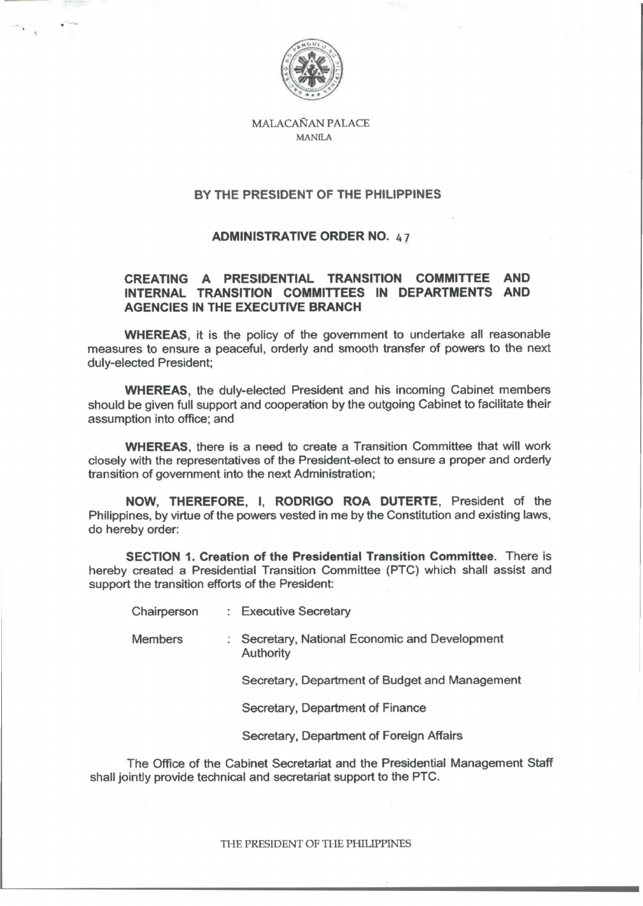

**MALACANAN PALACE** MANILA

## **BY THE PRESIDENT OF THE PHILIPPINES**

## **ADMINISTRATIVE ORDER NO.** 47

## **CREATING A PRESIDENTIAL TRANSITION COMMITTEE AND INTERNAL TRANSITION COMMITTEES IN DEPARTMENTS AND AGENCIES IN THE EXECUTIVE BRANCH**

**WHEREAS,** it is the policy of the government to undertake all reasonable measures to ensure a peaceful, orderly and smooth transfer of powers to the next duly-elected President;

**WHEREAS,** the duly-elected President and his incoming Cabinet members should be given full support and cooperation by the outgoing Cabinet to facilitate their assumption into office; and

**WHEREAS,** there is a need to create a Transition Committee that will work closely with the representatives of the President-elect to ensure a proper and orderly transition of government into the next Administration;

**NOW, THEREFORE, I, RODRIGO ROA DUTERTE,** President of the Philippines, by virtue of the powers vested in me by the Constitution and existing laws, do hereby order:

**SECTION 1. Creation of the Presidential Transition Committee.** There is hereby created a Presidential Transition Committee (PTC) which shall assist and support the transition efforts of the President:

Chairperson : Executive Secretary

Members : Secretary, National Economic and Development Authority

Secretary, Department of Budget and Management

Secretary, Department of Finance

Secretary, Department of Foreign Affairs

The Office of the Cabinet Secretariat and the Presidential Management Staff shall jointly provide technical and secretariat support to the PTC.

**THE PRESIDENT OF THE PHILIPPINES**